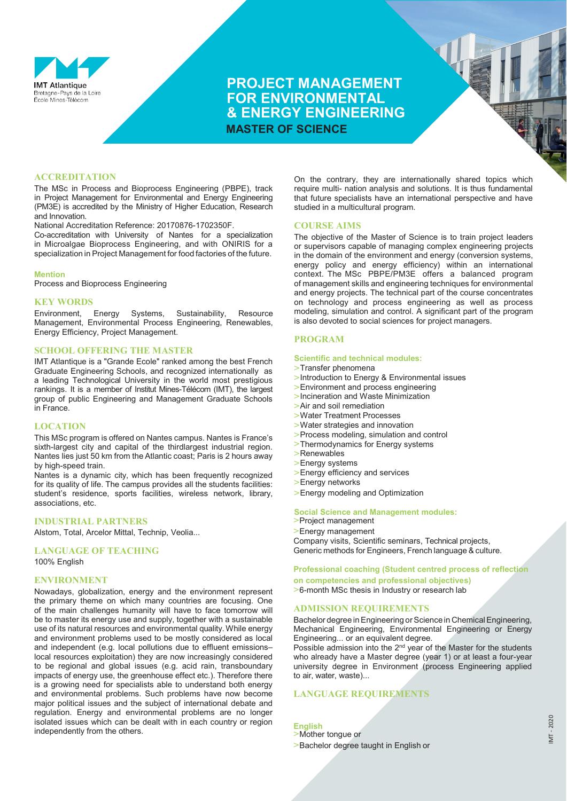

## **PROJECT MANAGEMENT FOR ENVIRONMENTAL & ENERGY ENGINEERING MASTER OF SCIENCE**

#### **ACCREDITATION**

The MSc in Process and Bioprocess Engineering (PBPE), track in Project Management for Environmental and Energy Engineering (PM3E) is accredited by the Ministry of Higher Education, Research and Innovation.

National Accreditation Reference: 20170876-1702350F.

Co-accreditation with University of Nantes for a specialization in Microalgae Bioprocess Engineering, and with ONIRIS for a specialization in Project Management for food factories of the future.

#### **Mention**

Process and Bioprocess Engineering

# **KEY WORDS**<br>Environment.

Energy Systems, Sustainability, Resource Management, Environmental Process Engineering, Renewables, Energy Efficiency, Project Management.

#### **SCHOOL OFFERING THE MASTER**

IMT Atlantique is a "Grande Ecole" ranked among the best French Graduate Engineering Schools, and recognized internationally as a leading Technological University in the world most prestigious rankings. It is a member of Institut Mines-Télécom (IMT), the largest group of public Engineering and Management Graduate Schools in France.

#### **LOCATION**

This MSc program is offered on Nantes campus. Nantes is France's sixth-largest city and capital of the thirdlargest industrial region. Nantes lies just 50 km from the Atlantic coast; Paris is 2 hours away by high-speed train.

Nantes is a dynamic city, which has been frequently recognized for its quality of life. The campus provides all the students facilities: student's residence, sports facilities, wireless network, library, associations, etc.

#### **INDUSTRIAL PARTNERS**

Alstom, Total, Arcelor Mittal, Technip, Veolia...

**LANGUAGE OF TEACHING**

100% English

#### **ENVIRONMENT**

Nowadays, globalization, energy and the environment represent the primary theme on which many countries are focusing. One of the main challenges humanity will have to face tomorrow will be to master its energy use and supply, together with a sustainable use of its natural resources and environmental quality. While energy and environment problems used to be mostly considered as local and independent (e.g. local pollutions due to effluent emissions– local resources exploitation) they are now increasingly considered to be regional and global issues (e.g. acid rain, transboundary impacts of energy use, the greenhouse effect etc.). Therefore there is a growing need for specialists able to understand both energy and environmental problems. Such problems have now become major political issues and the subject of international debate and regulation. Energy and environmental problems are no longer isolated issues which can be dealt with in each country or region independently from the others.

On the contrary, they are internationally shared topics which require multi- nation analysis and solutions. It is thus fundamental that future specialists have an international perspective and have studied in a multicultural program.

#### **COURSE AIMS**

The objective of the Master of Science is to train project leaders or supervisors capable of managing complex engineering projects in the domain of the environment and energy (conversion systems, energy policy and energy efficiency) within an international context. The MSc PBPE/PM3E offers a balanced program of management skills and engineering techniques for environmental and energy projects. The technical part of the course concentrates on technology and process engineering as well as process modeling, simulation and control. A significant part of the program is also devoted to social sciences for project managers.

#### **PROGRAM**

#### **Scientific and technical modules:**

- **>**Transfer phenomena
- **>**Introduction to Energy & Environmental issues
- **>**Environment and process engineering
- **>**Incineration and Waste Minimization
- **>**Air and soil remediation
- **>**Water Treatment Processes
- **>**Water strategies and innovation
- **>**Process modeling, simulation and control
- **>**Thermodynamics for Energy systems
- **>**Renewables
- **>**Energy systems
- **>**Energy efficiency and services
- **>**Energy networks
- **>**Energy modeling and Optimization

#### **Social Science and Management modules:**

**>**Project management

**>**Energy management

Company visits, Scientific seminars, Technical projects, Generic methods for Engineers, French language & culture.

#### **Professional coaching (Student centred process of reflection**

**on competencies and professional objectives)**

**>**6-month MSc thesis in Industry or research lab

#### **ADMISSION REQUIREMENTS**

Bachelor degree in Engineering or Science in Chemical Engineering, Mechanical Engineering, Environmental Engineering or Energy Engineering... or an equivalent degree.

Possible admission into the  $2<sup>nd</sup>$  year of the Master for the students who already have a Master degree (year 1) or at least a four-year university degree in Environment (process Engineering applied to air, water, waste)...

## **LANGUAGE REQUIREMENTS**

**English >**Mother tongue or

**>**Bachelor degree taught in English or